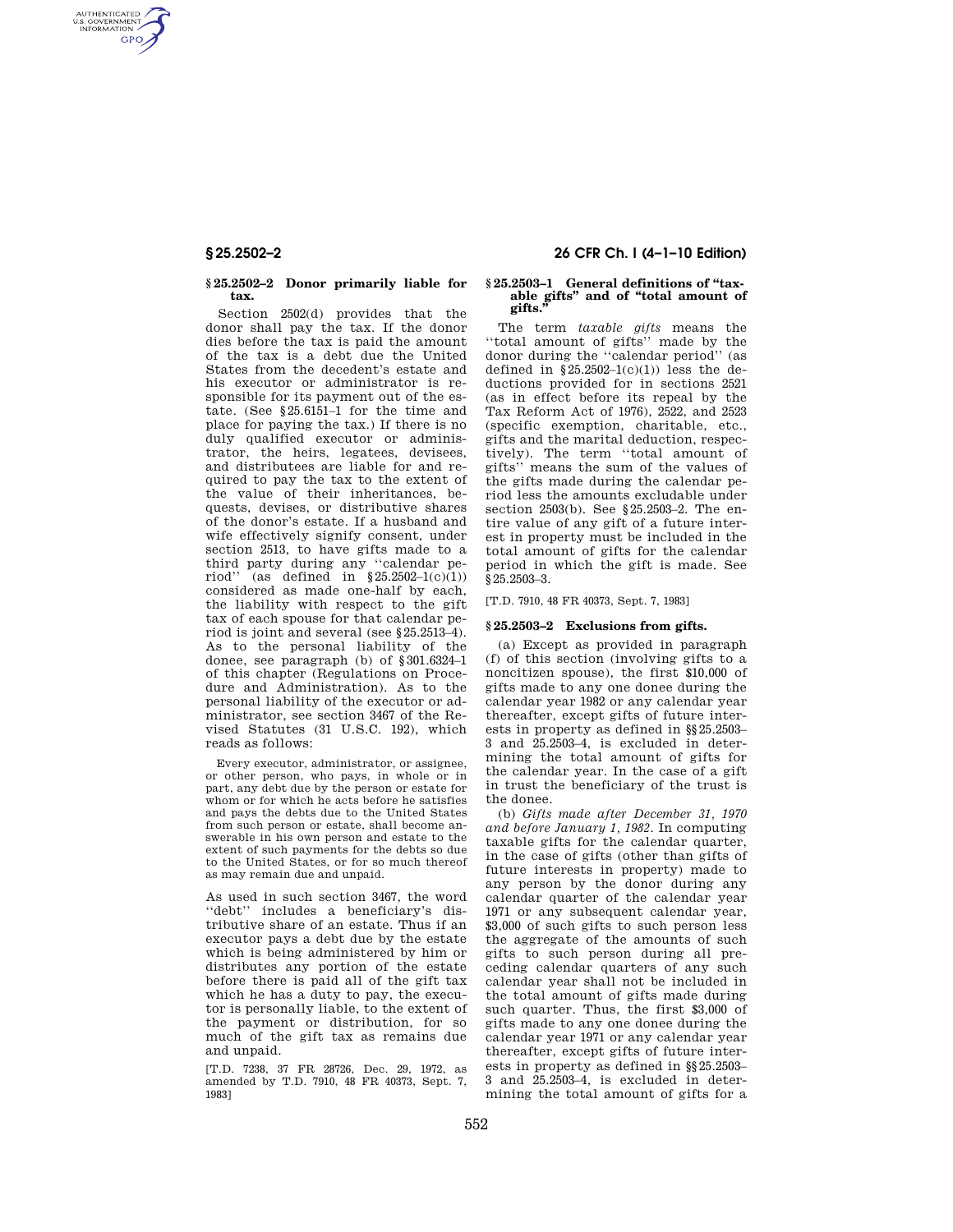AUTHENTICATED<br>U.S. GOVERNMENT<br>INFORMATION **GPO** 

### **§ 25.2502–2 Donor primarily liable for tax.**

Section 2502(d) provides that the donor shall pay the tax. If the donor dies before the tax is paid the amount of the tax is a debt due the United States from the decedent's estate and his executor or administrator is responsible for its payment out of the estate. (See §25.6151–1 for the time and place for paying the tax.) If there is no duly qualified executor or administrator, the heirs, legatees, devisees, and distributees are liable for and required to pay the tax to the extent of the value of their inheritances, bequests, devises, or distributive shares of the donor's estate. If a husband and wife effectively signify consent, under section 2513, to have gifts made to a third party during any ''calendar period'' (as defined in  $\S 25.2502-1(c)(1)$ ) considered as made one-half by each, the liability with respect to the gift tax of each spouse for that calendar period is joint and several (see §25.2513–4). As to the personal liability of the donee, see paragraph (b) of §301.6324–1 of this chapter (Regulations on Procedure and Administration). As to the personal liability of the executor or administrator, see section 3467 of the Revised Statutes (31 U.S.C. 192), which reads as follows:

Every executor, administrator, or assignee, or other person, who pays, in whole or in part, any debt due by the person or estate for whom or for which he acts before he satisfies and pays the debts due to the United States from such person or estate, shall become answerable in his own person and estate to the extent of such payments for the debts so due to the United States, or for so much thereof as may remain due and unpaid.

As used in such section 3467, the word ''debt'' includes a beneficiary's distributive share of an estate. Thus if an executor pays a debt due by the estate which is being administered by him or distributes any portion of the estate before there is paid all of the gift tax which he has a duty to pay, the executor is personally liable, to the extent of the payment or distribution, for so much of the gift tax as remains due and unpaid.

[T.D. 7238, 37 FR 28726, Dec. 29, 1972, as amended by T.D. 7910, 48 FR 40373, Sept. 7, 1983]

# **§ 25.2502–2 26 CFR Ch. I (4–1–10 Edition)**

### **§ 25.2503–1 General definitions of ''taxable gifts'' and of ''total amount of gifts.''**

The term *taxable gifts* means the ''total amount of gifts'' made by the donor during the ''calendar period'' (as defined in  $$25.2502-1(c)(1))$  less the deductions provided for in sections 2521 (as in effect before its repeal by the Tax Reform Act of 1976), 2522, and 2523 (specific exemption, charitable, etc., gifts and the marital deduction, respectively). The term ''total amount of gifts'' means the sum of the values of the gifts made during the calendar period less the amounts excludable under section 2503(b). See §25.2503–2. The entire value of any gift of a future interest in property must be included in the total amount of gifts for the calendar period in which the gift is made. See §25.2503–3.

[T.D. 7910, 48 FR 40373, Sept. 7, 1983]

# **§ 25.2503–2 Exclusions from gifts.**

(a) Except as provided in paragraph (f) of this section (involving gifts to a noncitizen spouse), the first \$10,000 of gifts made to any one donee during the calendar year 1982 or any calendar year thereafter, except gifts of future interests in property as defined in §§25.2503– 3 and 25.2503–4, is excluded in determining the total amount of gifts for the calendar year. In the case of a gift in trust the beneficiary of the trust is the donee.

(b) *Gifts made after December 31, 1970 and before January 1, 1982.* In computing taxable gifts for the calendar quarter, in the case of gifts (other than gifts of future interests in property) made to any person by the donor during any calendar quarter of the calendar year 1971 or any subsequent calendar year, \$3,000 of such gifts to such person less the aggregate of the amounts of such gifts to such person during all preceding calendar quarters of any such calendar year shall not be included in the total amount of gifts made during such quarter. Thus, the first \$3,000 of gifts made to any one donee during the calendar year 1971 or any calendar year thereafter, except gifts of future interests in property as defined in §§25.2503– 3 and 25.2503–4, is excluded in determining the total amount of gifts for a